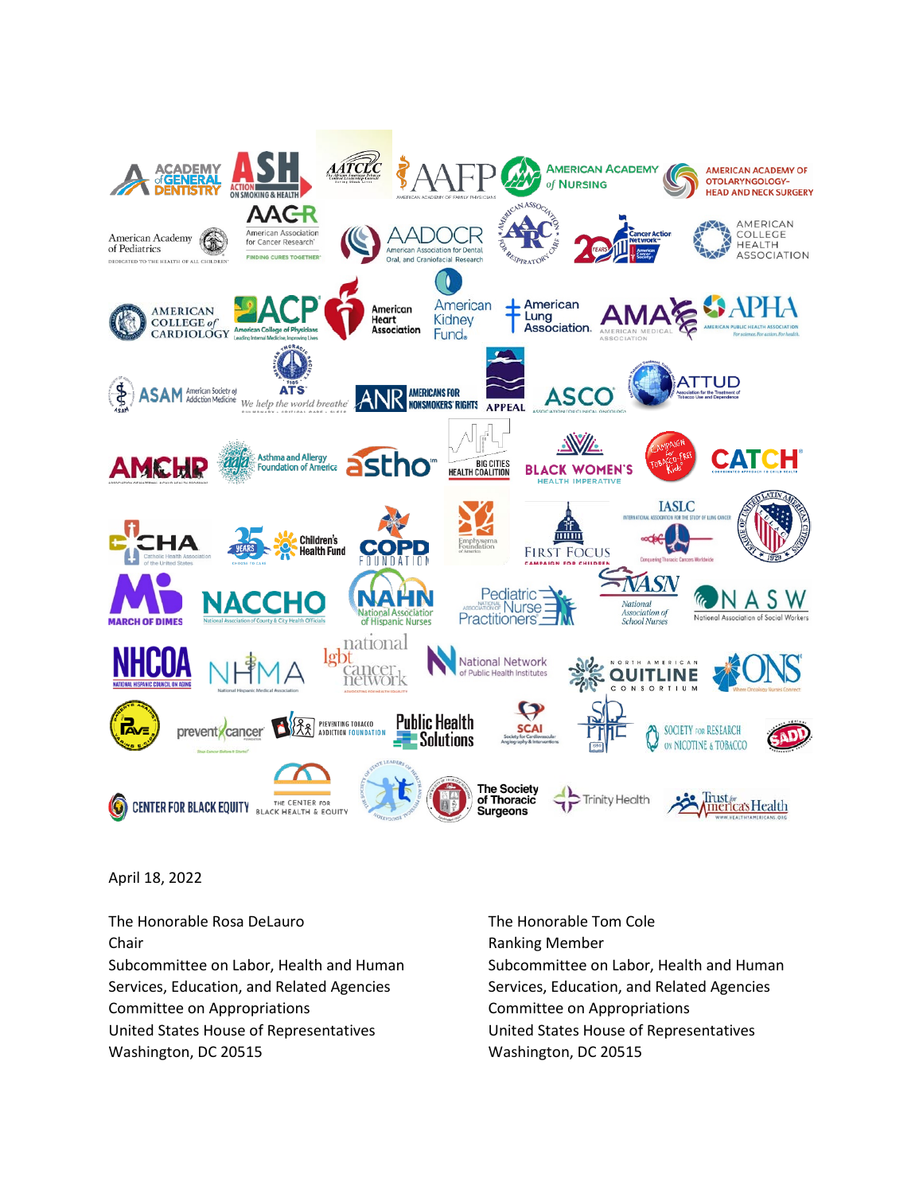

April 18, 2022

The Honorable Rosa DeLauro The Honorable Tom Cole Chair **Chair Chair Chair Chair Chair Chair Chair Chair Chair Chair Chair Chair Chair Chair Chair Chair Chair Chair Chair Chair Chair Chair Chair Chair Chair Chair Chair** Services, Education, and Related Agencies Services, Education, and Related Agencies Committee on Appropriations Committee on Appropriations United States House of Representatives United States House of Representatives Washington, DC 20515 Washington, DC 20515

Subcommittee on Labor, Health and Human Subcommittee on Labor, Health and Human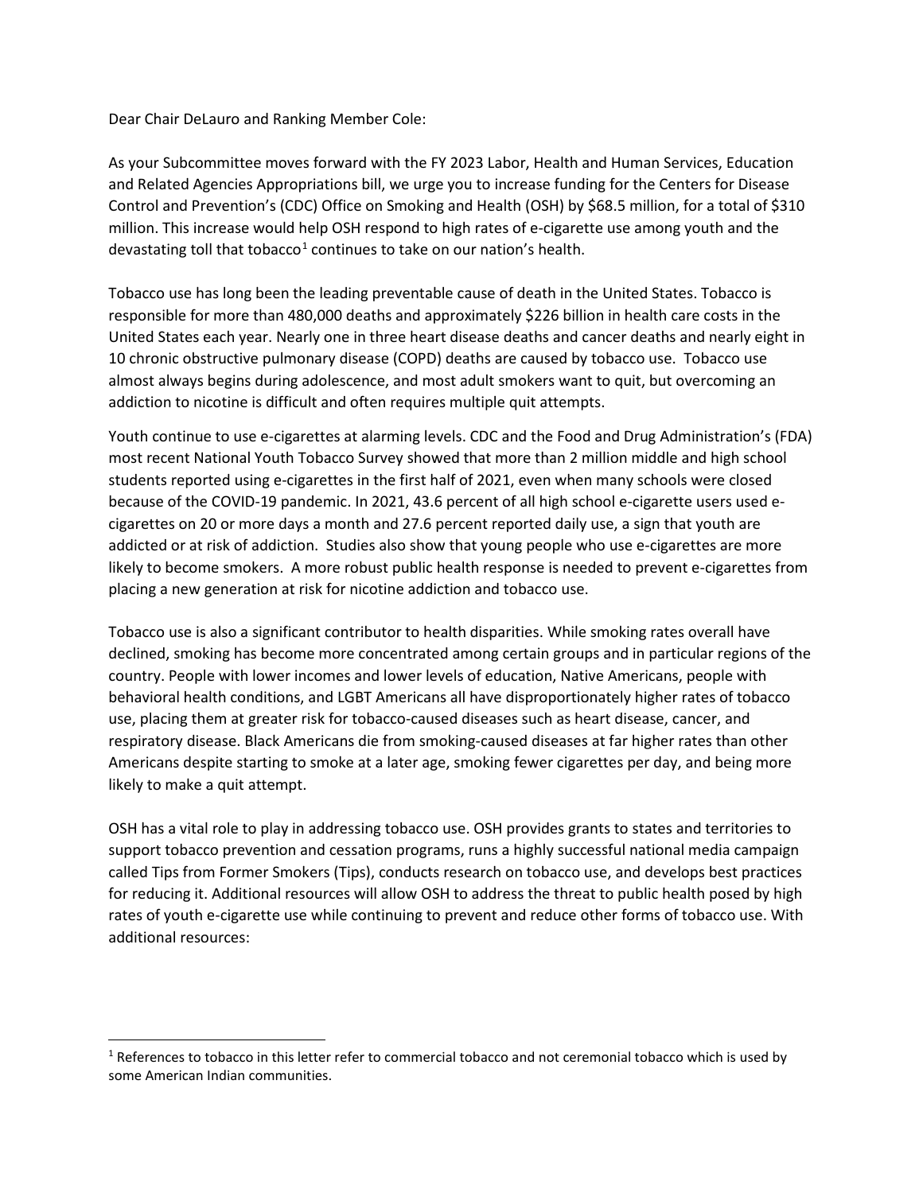Dear Chair DeLauro and Ranking Member Cole:

As your Subcommittee moves forward with the FY 2023 Labor, Health and Human Services, Education and Related Agencies Appropriations bill, we urge you to increase funding for the Centers for Disease Control and Prevention's (CDC) Office on Smoking and Health (OSH) by \$68.5 million, for a total of \$310 million. This increase would help OSH respond to high rates of e-cigarette use among youth and the devastating toll that tobacco<sup>[1](#page-1-0)</sup> continues to take on our nation's health.

Tobacco use has long been the leading preventable cause of death in the United States. Tobacco is responsible for more than 480,000 deaths and approximately \$226 billion in health care costs in the United States each year. Nearly one in three heart disease deaths and cancer deaths and nearly eight in 10 chronic obstructive pulmonary disease (COPD) deaths are caused by tobacco use. Tobacco use almost always begins during adolescence, and most adult smokers want to quit, but overcoming an addiction to nicotine is difficult and often requires multiple quit attempts.

Youth continue to use e-cigarettes at alarming levels. CDC and the Food and Drug Administration's (FDA) most recent National Youth Tobacco Survey showed that more than 2 million middle and high school students reported using e-cigarettes in the first half of 2021, even when many schools were closed because of the COVID-19 pandemic. In 2021, 43.6 percent of all high school e-cigarette users used ecigarettes on 20 or more days a month and 27.6 percent reported daily use, a sign that youth are addicted or at risk of addiction. Studies also show that young people who use e-cigarettes are more likely to become smokers. A more robust public health response is needed to prevent e-cigarettes from placing a new generation at risk for nicotine addiction and tobacco use.

Tobacco use is also a significant contributor to health disparities. While smoking rates overall have declined, smoking has become more concentrated among certain groups and in particular regions of the country. People with lower incomes and lower levels of education, Native Americans, people with behavioral health conditions, and LGBT Americans all have disproportionately higher rates of tobacco use, placing them at greater risk for tobacco-caused diseases such as heart disease, cancer, and respiratory disease. Black Americans die from smoking-caused diseases at far higher rates than other Americans despite starting to smoke at a later age, smoking fewer cigarettes per day, and being more likely to make a quit attempt.

OSH has a vital role to play in addressing tobacco use. OSH provides grants to states and territories to support tobacco prevention and cessation programs, runs a highly successful national media campaign called Tips from Former Smokers (Tips), conducts research on tobacco use, and develops best practices for reducing it. Additional resources will allow OSH to address the threat to public health posed by high rates of youth e-cigarette use while continuing to prevent and reduce other forms of tobacco use. With additional resources:

<span id="page-1-0"></span><sup>&</sup>lt;sup>1</sup> References to tobacco in this letter refer to commercial tobacco and not ceremonial tobacco which is used by some American Indian communities.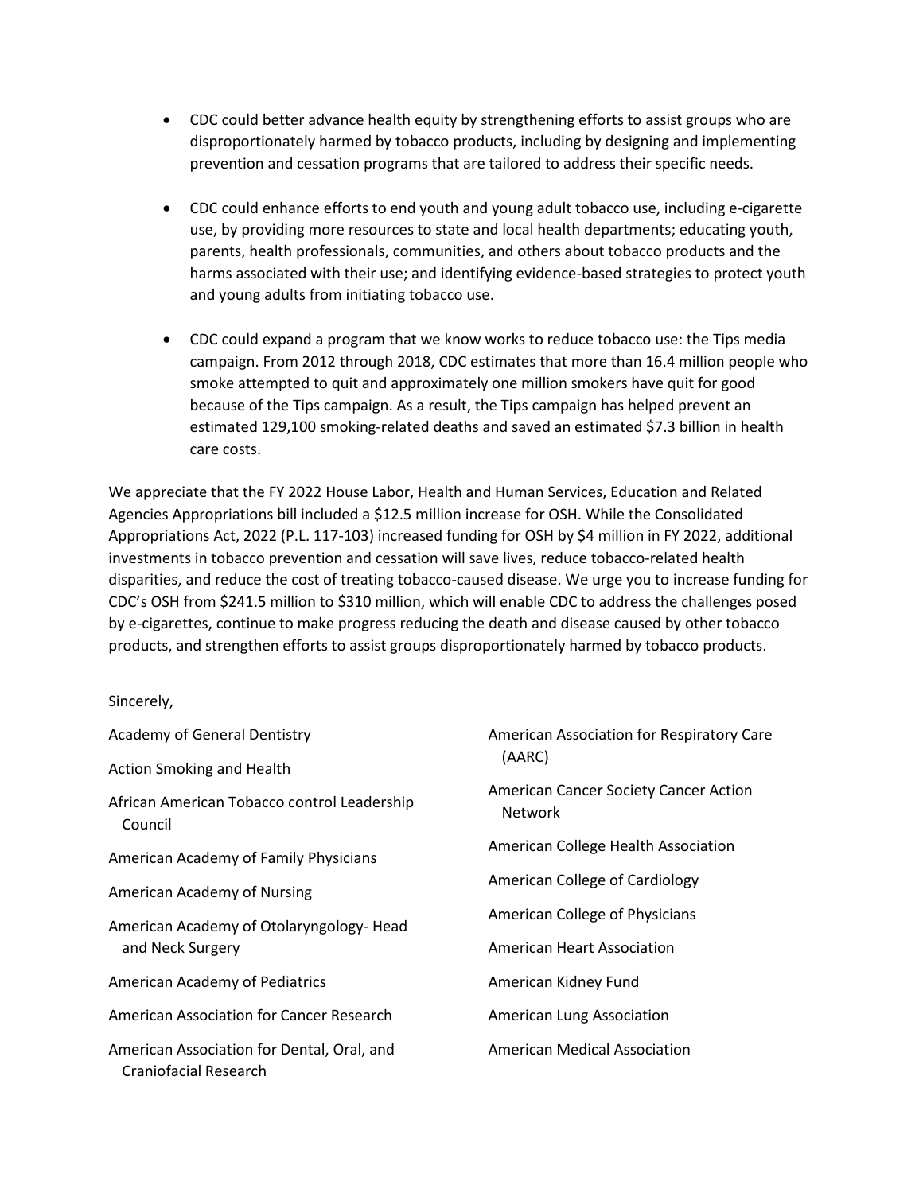- CDC could better advance health equity by strengthening efforts to assist groups who are disproportionately harmed by tobacco products, including by designing and implementing prevention and cessation programs that are tailored to address their specific needs.
- CDC could enhance efforts to end youth and young adult tobacco use, including e-cigarette use, by providing more resources to state and local health departments; educating youth, parents, health professionals, communities, and others about tobacco products and the harms associated with their use; and identifying evidence-based strategies to protect youth and young adults from initiating tobacco use.
- CDC could expand a program that we know works to reduce tobacco use: the Tips media campaign. From 2012 through 2018, CDC estimates that more than 16.4 million people who smoke attempted to quit and approximately one million smokers have quit for good because of the Tips campaign. As a result, the Tips campaign has helped prevent an estimated 129,100 smoking-related deaths and saved an estimated \$7.3 billion in health care costs.

We appreciate that the FY 2022 House Labor, Health and Human Services, Education and Related Agencies Appropriations bill included a \$12.5 million increase for OSH. While the Consolidated Appropriations Act, 2022 (P.L. 117-103) increased funding for OSH by \$4 million in FY 2022, additional investments in tobacco prevention and cessation will save lives, reduce tobacco-related health disparities, and reduce the cost of treating tobacco-caused disease. We urge you to increase funding for CDC's OSH from \$241.5 million to \$310 million, which will enable CDC to address the challenges posed by e-cigarettes, continue to make progress reducing the death and disease caused by other tobacco products, and strengthen efforts to assist groups disproportionately harmed by tobacco products.

Sincerely,

| <b>Academy of General Dentistry</b>                                 | American Association for Respiratory Care<br>(AARC)            |
|---------------------------------------------------------------------|----------------------------------------------------------------|
| <b>Action Smoking and Health</b>                                    |                                                                |
| African American Tobacco control Leadership<br>Council              | <b>American Cancer Society Cancer Action</b><br><b>Network</b> |
| American Academy of Family Physicians                               | American College Health Association                            |
| American Academy of Nursing                                         | American College of Cardiology                                 |
| American Academy of Otolaryngology-Head<br>and Neck Surgery         | American College of Physicians                                 |
|                                                                     | <b>American Heart Association</b>                              |
| <b>American Academy of Pediatrics</b>                               | American Kidney Fund                                           |
| American Association for Cancer Research                            | American Lung Association                                      |
| American Association for Dental, Oral, and<br>Craniofacial Research | <b>American Medical Association</b>                            |